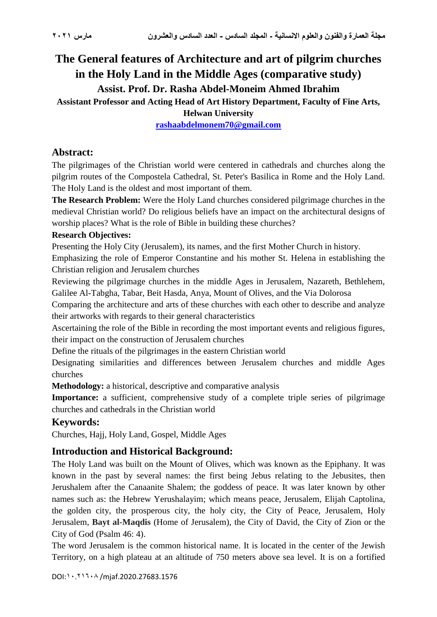# **The General features of Architecture and art of pilgrim churches in the Holy Land in the Middle Ages (comparative study) Assist. Prof. Dr. Rasha Abdel-Moneim Ahmed Ibrahim Assistant Professor and Acting Head of Art History Department, Faculty of Fine Arts, Helwan University**

**[rashaabdelmonem70@gmail.com](mailto:rashaabdelmonem70@gmail.com)**

## **Abstract:**

The pilgrimages of the Christian world were centered in cathedrals and churches along the pilgrim routes of the Compostela Cathedral, St. Peter's Basilica in Rome and the Holy Land. The Holy Land is the oldest and most important of them.

**The Research Problem:** Were the Holy Land churches considered pilgrimage churches in the medieval Christian world? Do religious beliefs have an impact on the architectural designs of worship places? What is the role of Bible in building these churches?

#### **Research Objectives:**

Presenting the Holy City (Jerusalem), its names, and the first Mother Church in history.

Emphasizing the role of Emperor Constantine and his mother St. Helena in establishing the Christian religion and Jerusalem churches

Reviewing the pilgrimage churches in the middle Ages in Jerusalem, Nazareth, Bethlehem, Galilee Al-Tabgha, Tabar, Beit Hasda, Anya, Mount of Olives, and the Via Dolorosa

Comparing the architecture and arts of these churches with each other to describe and analyze their artworks with regards to their general characteristics

Ascertaining the role of the Bible in recording the most important events and religious figures, their impact on the construction of Jerusalem churches

Define the rituals of the pilgrimages in the eastern Christian world

Designating similarities and differences between Jerusalem churches and middle Ages churches

**Methodology:** a historical, descriptive and comparative analysis

**Importance:** a sufficient, comprehensive study of a complete triple series of pilgrimage churches and cathedrals in the Christian world

### **Keywords:**

Churches, Hajj, Holy Land, Gospel, Middle Ages

## **Introduction and Historical Background:**

The Holy Land was built on the Mount of Olives, which was known as the Epiphany. It was known in the past by several names: the first being Jebus relating to the Jebusites, then Jerushalem after the Canaanite Shalem; the goddess of peace. It was later known by other names such as: the Hebrew Yerushalayim; which means peace, Jerusalem, Elijah Captolina, the golden city, the prosperous city, the holy city, the City of Peace, Jerusalem, Holy Jerusalem, **Bayt al-Maqdis** (Home of Jerusalem), the City of David, the City of Zion or the City of God (Psalm 46: 4).

The word Jerusalem is the common historical name. It is located in the center of the Jewish Territory, on a high plateau at an altitude of 750 meters above sea level. It is on a fortified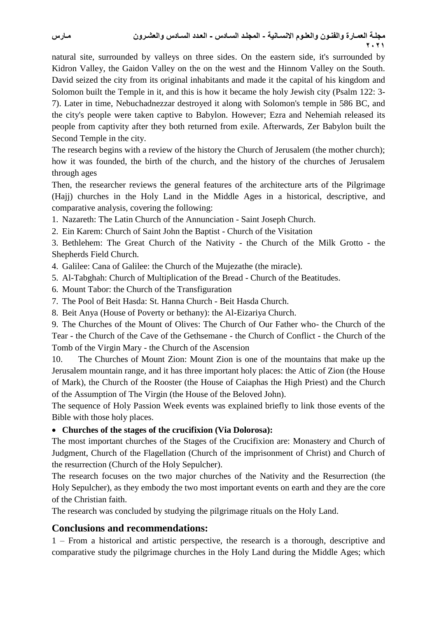natural site, surrounded by valleys on three sides. On the eastern side, it's surrounded by Kidron Valley, the Gaidon Valley on the on the west and the Hinnom Valley on the South. David seized the city from its original inhabitants and made it the capital of his kingdom and Solomon built the Temple in it, and this is how it became the holy Jewish city (Psalm 122: 3- 7). Later in time, Nebuchadnezzar destroyed it along with Solomon's temple in 586 BC, and the city's people were taken captive to Babylon. However; Ezra and Nehemiah released its people from captivity after they both returned from exile. Afterwards, Zer Babylon built the Second Temple in the city.

The research begins with a review of the history the Church of Jerusalem (the mother church); how it was founded, the birth of the church, and the history of the churches of Jerusalem through ages

Then, the researcher reviews the general features of the architecture arts of the Pilgrimage (Hajj) churches in the Holy Land in the Middle Ages in a historical, descriptive, and comparative analysis, covering the following:

1. Nazareth: The Latin Church of the Annunciation - Saint Joseph Church.

2. Ein Karem: Church of Saint John the Baptist - Church of the Visitation

3. Bethlehem: The Great Church of the Nativity - the Church of the Milk Grotto - the Shepherds Field Church.

4. Galilee: Cana of Galilee: the Church of the Mujezathe (the miracle).

5. Al-Tabghah: Church of Multiplication of the Bread - Church of the Beatitudes.

6. Mount Tabor: the Church of the Transfiguration

7. The Pool of Beit Hasda: St. Hanna Church - Beit Hasda Church.

8. Beit Anya (House of Poverty or bethany): the Al-Eizariya Church.

9. The Churches of the Mount of Olives: The Church of Our Father who- the Church of the Tear - the Church of the Cave of the Gethsemane - the Church of Conflict - the Church of the Tomb of the Virgin Mary - the Church of the Ascension

10. The Churches of Mount Zion: Mount Zion is one of the mountains that make up the Jerusalem mountain range, and it has three important holy places: the Attic of Zion (the House of Mark), the Church of the Rooster (the House of Caiaphas the High Priest) and the Church of the Assumption of The Virgin (the House of the Beloved John).

The sequence of Holy Passion Week events was explained briefly to link those events of the Bible with those holy places.

### **Churches of the stages of the crucifixion (Via Dolorosa):**

The most important churches of the Stages of the Crucifixion are: Monastery and Church of Judgment, Church of the Flagellation (Church of the imprisonment of Christ) and Church of the resurrection (Church of the Holy Sepulcher).

The research focuses on the two major churches of the Nativity and the Resurrection (the Holy Sepulcher), as they embody the two most important events on earth and they are the core of the Christian faith.

The research was concluded by studying the pilgrimage rituals on the Holy Land.

## **Conclusions and recommendations:**

1 – From a historical and artistic perspective, the research is a thorough, descriptive and comparative study the pilgrimage churches in the Holy Land during the Middle Ages; which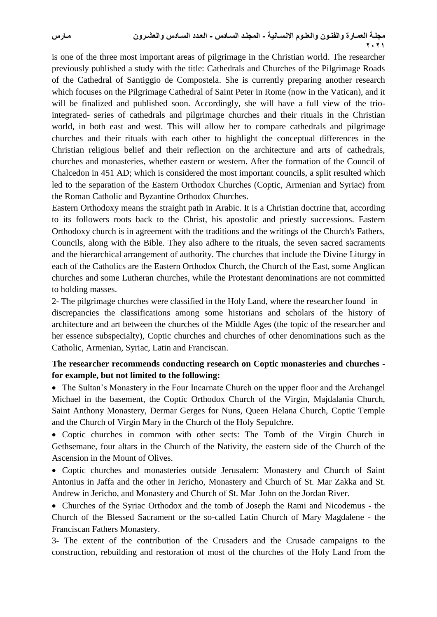is one of the three most important areas of pilgrimage in the Christian world. The researcher previously published a study with the title: Cathedrals and Churches of the Pilgrimage Roads of the Cathedral of Santiggio de Compostela. She is currently preparing another research which focuses on the Pilgrimage Cathedral of Saint Peter in Rome (now in the Vatican), and it will be finalized and published soon. Accordingly, she will have a full view of the triointegrated- series of cathedrals and pilgrimage churches and their rituals in the Christian world, in both east and west. This will allow her to compare cathedrals and pilgrimage churches and their rituals with each other to highlight the conceptual differences in the Christian religious belief and their reflection on the architecture and arts of cathedrals, churches and monasteries, whether eastern or western. After the formation of the Council of Chalcedon in 451 AD; which is considered the most important councils, a split resulted which led to the separation of the Eastern Orthodox Churches (Coptic, Armenian and Syriac) from the Roman Catholic and Byzantine Orthodox Churches.

Eastern Orthodoxy means the straight path in Arabic. It is a Christian doctrine that, according to its followers roots back to the Christ, his apostolic and priestly successions. Eastern Orthodoxy church is in agreement with the traditions and the writings of the Church's Fathers, Councils, along with the Bible. They also adhere to the rituals, the seven sacred sacraments and the hierarchical arrangement of authority. The churches that include the Divine Liturgy in each of the Catholics are the Eastern Orthodox Church, the Church of the East, some Anglican churches and some Lutheran churches, while the Protestant denominations are not committed to holding masses.

2- The pilgrimage churches were classified in the Holy Land, where the researcher found in discrepancies the classifications among some historians and scholars of the history of architecture and art between the churches of the Middle Ages (the topic of the researcher and her essence subspecialty), Coptic churches and churches of other denominations such as the Catholic, Armenian, Syriac, Latin and Franciscan.

### **The researcher recommends conducting research on Coptic monasteries and churches for example, but not limited to the following:**

 The Sultan's Monastery in the Four Incarnate Church on the upper floor and the Archangel Michael in the basement, the Coptic Orthodox Church of the Virgin, Majdalania Church, Saint Anthony Monastery, Dermar Gerges for Nuns, Queen Helana Church, Coptic Temple and the Church of Virgin Mary in the Church of the Holy Sepulchre.

 Coptic churches in common with other sects: The Tomb of the Virgin Church in Gethsemane, four altars in the Church of the Nativity, the eastern side of the Church of the Ascension in the Mount of Olives.

 Coptic churches and monasteries outside Jerusalem: Monastery and Church of Saint Antonius in Jaffa and the other in Jericho, Monastery and Church of St. Mar Zakka and St. Andrew in Jericho, and Monastery and Church of St. Mar John on the Jordan River.

 Churches of the Syriac Orthodox and the tomb of Joseph the Rami and Nicodemus - the Church of the Blessed Sacrament or the so-called Latin Church of Mary Magdalene - the Franciscan Fathers Monastery.

3- The extent of the contribution of the Crusaders and the Crusade campaigns to the construction, rebuilding and restoration of most of the churches of the Holy Land from the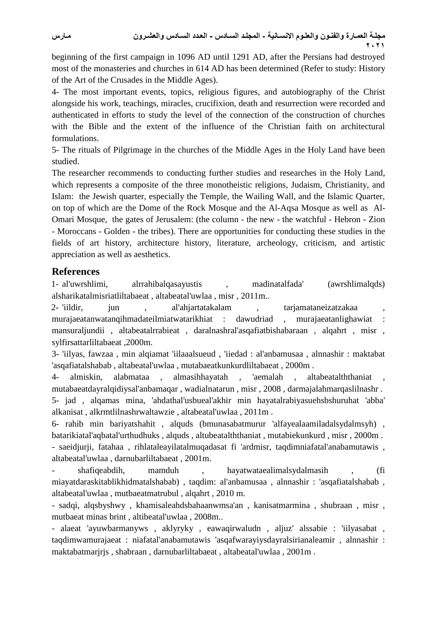beginning of the first campaign in 1096 AD until 1291 AD, after the Persians had destroyed most of the monasteries and churches in 614 AD has been determined (Refer to study: History of the Art of the Crusades in the Middle Ages).

4- The most important events, topics, religious figures, and autobiography of the Christ alongside his work, teachings, miracles, crucifixion, death and resurrection were recorded and authenticated in efforts to study the level of the connection of the construction of churches with the Bible and the extent of the influence of the Christian faith on architectural formulations.

5- The rituals of Pilgrimage in the churches of the Middle Ages in the Holy Land have been studied.

The researcher recommends to conducting further studies and researches in the Holy Land, which represents a composite of the three monotheistic religions, Judaism, Christianity, and Islam: the Jewish quarter, especially the Temple, the Wailing Wall, and the Islamic Quarter, on top of which are the Dome of the Rock Mosque and the Al-Aqsa Mosque as well as Al-Omari Mosque, the gates of Jerusalem: (the column - the new - the watchful - Hebron - Zion - Moroccans - Golden - the tribes). There are opportunities for conducting these studies in the fields of art history, architecture history, literature, archeology, criticism, and artistic appreciation as well as aesthetics.

### **References**

1- al'uwrshlimi, alrrahibalqasayustis , madinatalfada' (awrshlimalqds) alsharikatalmisriatliltabaeat , altabeatal'uwlaa , misr , 2011m.6

2- 'iildir, jun , al'ahjartatakalam , tarjamataneizatzakaa murajaeatanwatanqihmadateilmiatwatarikhiat : dawudriad , murajaeatanlighawiat : mansuraljundii , altabeatalrrabieat , daralnashral'asqafiatbishabaraan , alqahrt , misr , sylfirsattarliltabaeat ,2000m.

3- 'iilyas, fawzaa , min alqiamat 'iilaaalsueud , 'iiedad : al'anbamusaa , alnnashir : maktabat 'asqafiatalshabab , altabeatal'uwlaa , mutabaeatkunkurdliltabaeat , 2000m .

4- almiskin, alabmataa , almasihhayatah , 'aemalah , altabeatalththaniat , mutabaeatdayralqidiysal'anbamaqar , wadialnatarun , misr , 2008 , darmajalahmarqaslilnashr . 5- jad , alqamas mina, 'ahdathal'usbueal'akhir min hayatalrabiyasuehsbshuruhat 'abba' alkanisat , alkrmtlilnashrwaltawzie , altabeatal'uwlaa , 2011m .

6- rahib min bariyatshahit , alquds (bmunasabatmurur 'alfayealaamiladalsydalmsyh) , batarikiatal'aqbatal'urthudhuks , alquds , altubeatalththaniat , mutabiekunkurd , misr , 2000m . - saeidjurji, fatahaa , rihlataleayilatalmuqadasat fi 'ardmisr, taqdimniafatal'anabamutawis , altabeatal'uwlaa , darnubarliltabaeat , 2001m.

- shafiqeabdih, mamduh , hayatwataealimalsydalmasih , (fi miayatdaraskitablikhidmatalshabab) , taqdim: al'anbamusaa , alnnashir : 'asqafiatalshabab , altabeatal'uwlaa , mutbaeatmatrubul , alqahrt , 2010 m.

- sadqi, alqsbyshwy , khamisaleahdsbahaanwmsa'an , kanisatmarmina , shubraan , misr , mutbaeat minas brint, altibeatal'uwlaa, 2008m...

- alaeat 'ayuwbarmanyws , aklyryky , eawaqirwaludn , aljuz' alssabie : 'iilyasabat , taqdimwamurajaeat : niafatal'anabamutawis 'asqafwarayiysdayralsirianaleamir , alnnashir : maktabatmarjrjs , shabraan , darnubarliltabaeat , altabeatal'uwlaa , 2001m .